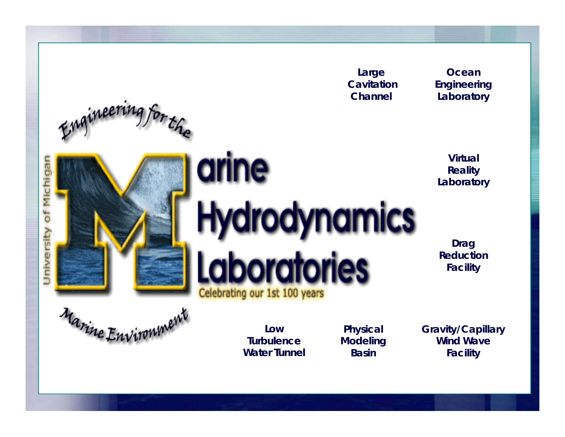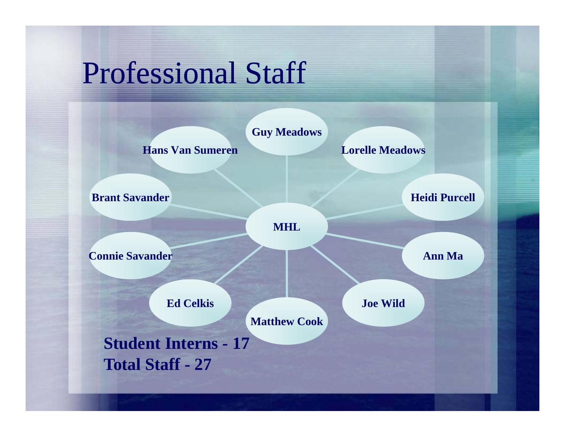## Professional Staff

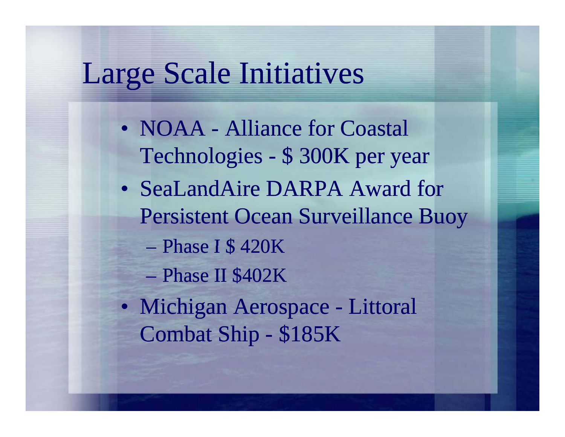## Large Scale Initiatives

- NOAA Alliance for Coastal Technologies - \$ 300K per year
- SeaLandAire DARPA Award for Persistent Ocean Surveillance Buoy
	- Phase I \$420K
	- Phase II \$402K
- Michigan Aerospace Littoral Combat Ship - \$185K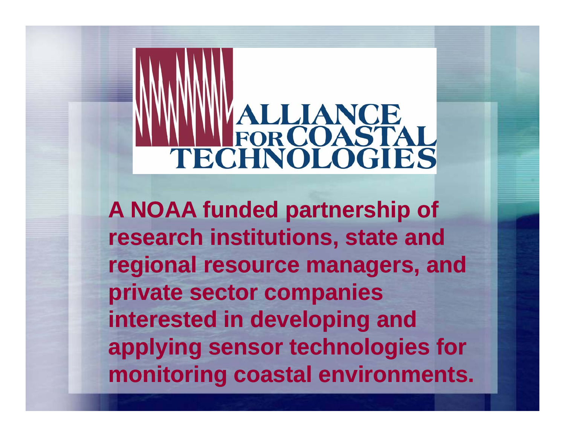# ALLIANCE<br>FORCOASTAL TECHNOLOGIES

**A NOAA funded partnership of research institutions , state and regional resource managers, and p p rivate sector com panies interested in developing and applying sensor technologies for monitoring coastal environments.**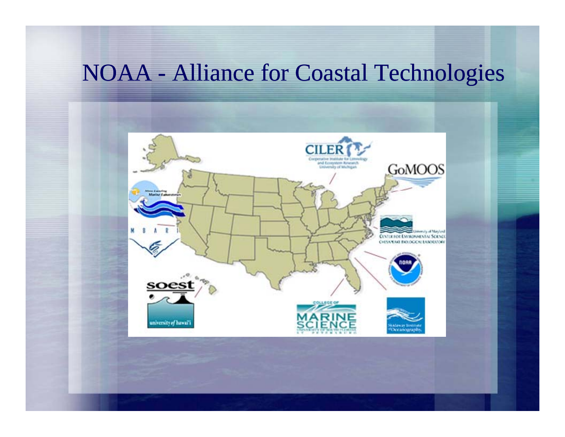#### NOAA - Alliance for Coastal Technologies

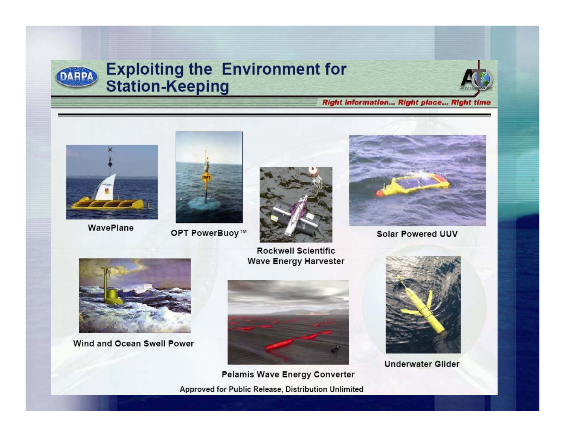

#### **Exploiting the Environment for Station-Keeping**



#### **Right Information... Right place... Right time**



WavePlane



OPT PowerBuoy™



**Rockwell Scientific Wave Energy Harvester** 



**Solar Powered UUV** 



Wind and Ocean Swell Power



**Pelamis Wave Energy Converter** Approved for Public Release, Distribution Unlimited



**Underwater Glider**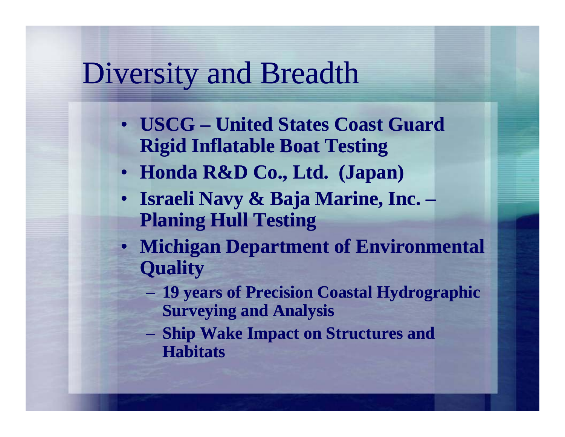## Diversity and Breadth

- **USCG – United States Coast Guard Rigid Inflatable Boat Testing**
- **Honda R&D Co., Ltd. (Japan)**
- **Israeli Navy & Baja Marine, Inc. – Planing Hull Testing**
- **Michigan Department of Environmental Quality**
	- **19 y y gp ears of Precision Coastal H ydro gra phic Surveying and Analysis**
	- **Ship Wake Impact on Structures and Habitats**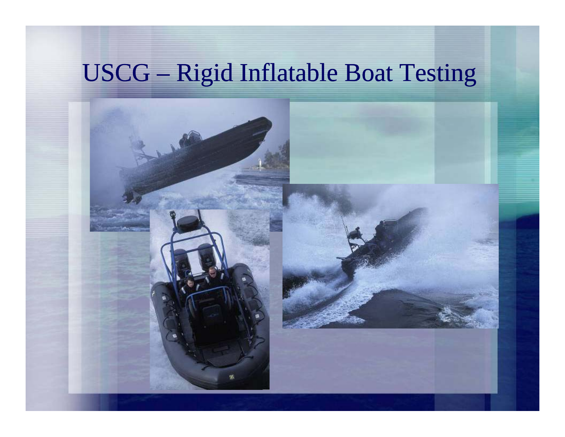### USCG – Rigid Inflatable Boat Testing

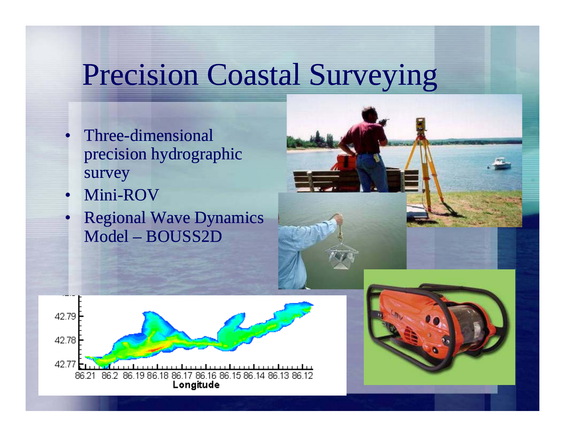## Precision Coastal Surveying

- Three-dimensional precision hydrographic survey
- •• Mini-ROV

•

• Regional Wave Dynamics Model – BOUSS2D